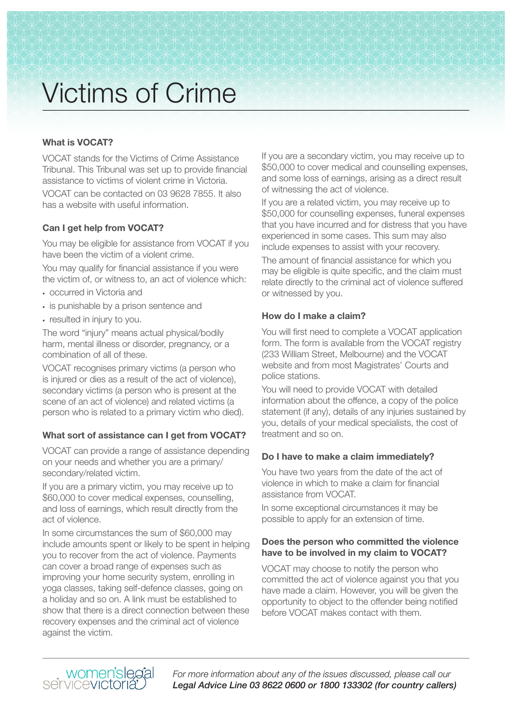# Victims of Crime

## **What is VOCAT?**

VOCAT stands for the Victims of Crime Assistance Tribunal. This Tribunal was set up to provide financial assistance to victims of violent crime in Victoria. VOCAT can be contacted on 03 9628 7855. It also has a website with useful information.

### **Can I get help from VOCAT?**

You may be eligible for assistance from VOCAT if you have been the victim of a violent crime.

You may qualify for financial assistance if you were the victim of, or witness to, an act of violence which:

- occurred in Victoria and
- is punishable by a prison sentence and
- resulted in injury to you.

The word "injury" means actual physical/bodily harm, mental illness or disorder, pregnancy, or a combination of all of these.

VOCAT recognises primary victims (a person who is injured or dies as a result of the act of violence), secondary victims (a person who is present at the scene of an act of violence) and related victims (a person who is related to a primary victim who died).

#### **What sort of assistance can I get from VOCAT?**

VOCAT can provide a range of assistance depending on your needs and whether you are a primary/ secondary/related victim.

If you are a primary victim, you may receive up to \$60,000 to cover medical expenses, counselling, and loss of earnings, which result directly from the act of violence.

In some circumstances the sum of \$60,000 may include amounts spent or likely to be spent in helping you to recover from the act of violence. Payments can cover a broad range of expenses such as improving your home security system, enrolling in yoga classes, taking self-defence classes, going on a holiday and so on. A link must be established to show that there is a direct connection between these recovery expenses and the criminal act of violence against the victim.

If you are a secondary victim, you may receive up to \$50,000 to cover medical and counselling expenses, and some loss of earnings, arising as a direct result of witnessing the act of violence.

If you are a related victim, you may receive up to \$50,000 for counselling expenses, funeral expenses that you have incurred and for distress that you have experienced in some cases. This sum may also include expenses to assist with your recovery.

The amount of financial assistance for which you may be eligible is quite specific, and the claim must relate directly to the criminal act of violence suffered or witnessed by you.

#### **How do I make a claim?**

You will first need to complete a VOCAT application form. The form is available from the VOCAT registry (233 William Street, Melbourne) and the VOCAT website and from most Magistrates' Courts and police stations.

You will need to provide VOCAT with detailed information about the offence, a copy of the police statement (if any), details of any injuries sustained by you, details of your medical specialists, the cost of treatment and so on.

#### **Do I have to make a claim immediately?**

You have two years from the date of the act of violence in which to make a claim for financial assistance from VOCAT.

In some exceptional circumstances it may be possible to apply for an extension of time.

#### **Does the person who committed the violence have to be involved in my claim to VOCAT?**

VOCAT may choose to notify the person who committed the act of violence against you that you have made a claim. However, you will be given the opportunity to object to the offender being notified before VOCAT makes contact with them.



*For more information about any of the issues discussed, please call our Legal Advice Line 03 8622 0600 or 1800 133302 (for country callers)*